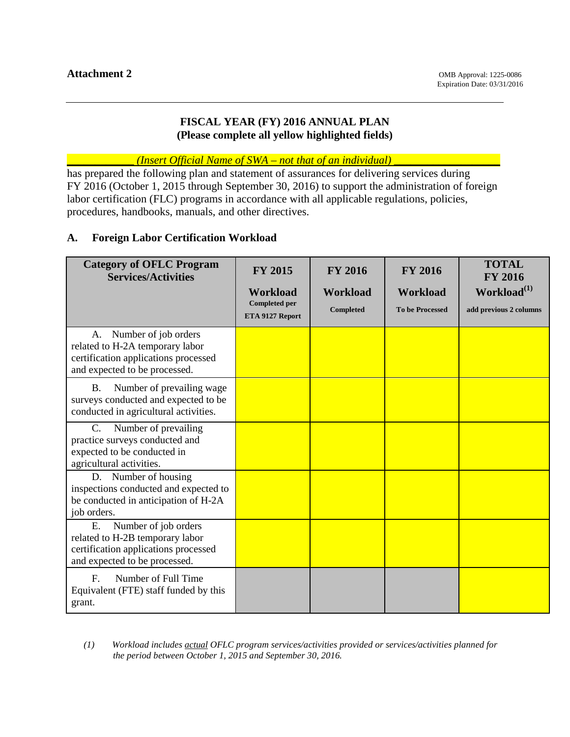## **FISCAL YEAR (FY) 2016 ANNUAL PLAN (Please complete all yellow highlighted fields)**

\_\_\_\_\_\_\_\_\_\_\_\_ *(Insert Official Name of SWA – not that of an individual)* \_\_\_\_\_\_\_\_\_\_\_\_\_\_\_\_\_\_\_

has prepared the following plan and statement of assurances for delivering services during FY 2016 (October 1, 2015 through September 30, 2016) to support the administration of foreign labor certification (FLC) programs in accordance with all applicable regulations, policies, procedures, handbooks, manuals, and other directives.

### **A. Foreign Labor Certification Workload**

| <b>Category of OFLC Program</b><br><b>Services/Activities</b>                                                                          | <b>FY 2015</b>                          | <b>FY 2016</b>                      | <b>FY 2016</b>                            | <b>TOTAL</b><br><b>FY 2016</b>                    |
|----------------------------------------------------------------------------------------------------------------------------------------|-----------------------------------------|-------------------------------------|-------------------------------------------|---------------------------------------------------|
|                                                                                                                                        | <b>Workload</b><br><b>Completed per</b> | <b>Workload</b><br><b>Completed</b> | <b>Workload</b><br><b>To be Processed</b> | Workload <sup>(1)</sup><br>add previous 2 columns |
|                                                                                                                                        | ETA 9127 Report                         |                                     |                                           |                                                   |
| Number of job orders<br>A.<br>related to H-2A temporary labor<br>certification applications processed<br>and expected to be processed. |                                         |                                     |                                           |                                                   |
| Number of prevailing wage<br><b>B.</b><br>surveys conducted and expected to be<br>conducted in agricultural activities.                |                                         |                                     |                                           |                                                   |
| Number of prevailing<br>$C_{\cdot}$<br>practice surveys conducted and<br>expected to be conducted in<br>agricultural activities.       |                                         |                                     |                                           |                                                   |
| D. Number of housing<br>inspections conducted and expected to<br>be conducted in anticipation of H-2A<br>job orders.                   |                                         |                                     |                                           |                                                   |
| Number of job orders<br>E.<br>related to H-2B temporary labor<br>certification applications processed<br>and expected to be processed. |                                         |                                     |                                           |                                                   |
| Number of Full Time<br>F <sub>r</sub><br>Equivalent (FTE) staff funded by this<br>grant.                                               |                                         |                                     |                                           |                                                   |

*(1) Workload includes actual OFLC program services/activities provided or services/activities planned for the period between October 1, 2015 and September 30, 2016.*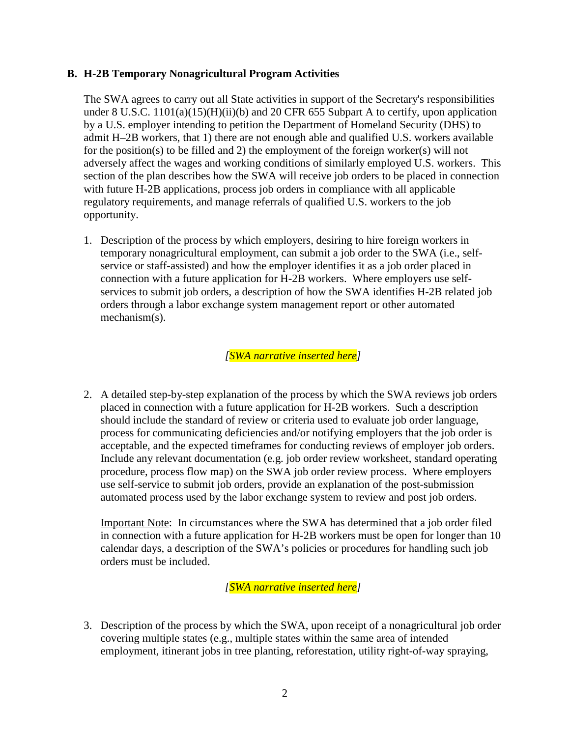### **B. H-2B Temporary Nonagricultural Program Activities**

The SWA agrees to carry out all State activities in support of the Secretary's responsibilities under 8 U.S.C.  $1101(a)(15)(H)(ii)(b)$  and 20 CFR 655 Subpart A to certify, upon application by a U.S. employer intending to petition the Department of Homeland Security (DHS) to admit H–2B workers, that 1) there are not enough able and qualified U.S. workers available for the position(s) to be filled and 2) the employment of the foreign worker(s) will not adversely affect the wages and working conditions of similarly employed U.S. workers. This section of the plan describes how the SWA will receive job orders to be placed in connection with future H-2B applications, process job orders in compliance with all applicable regulatory requirements, and manage referrals of qualified U.S. workers to the job opportunity.

1. Description of the process by which employers, desiring to hire foreign workers in temporary nonagricultural employment, can submit a job order to the SWA (i.e., selfservice or staff-assisted) and how the employer identifies it as a job order placed in connection with a future application for H-2B workers. Where employers use selfservices to submit job orders, a description of how the SWA identifies H-2B related job orders through a labor exchange system management report or other automated mechanism(s).

*[SWA narrative inserted here]* 

2. A detailed step-by-step explanation of the process by which the SWA reviews job orders placed in connection with a future application for H-2B workers. Such a description should include the standard of review or criteria used to evaluate job order language, process for communicating deficiencies and/or notifying employers that the job order is acceptable, and the expected timeframes for conducting reviews of employer job orders. Include any relevant documentation (e.g. job order review worksheet, standard operating procedure, process flow map) on the SWA job order review process. Where employers use self-service to submit job orders, provide an explanation of the post-submission automated process used by the labor exchange system to review and post job orders.

Important Note: In circumstances where the SWA has determined that a job order filed in connection with a future application for H-2B workers must be open for longer than 10 calendar days, a description of the SWA's policies or procedures for handling such job orders must be included.

*[SWA narrative inserted here]* 

3. Description of the process by which the SWA, upon receipt of a nonagricultural job order covering multiple states (e.g., multiple states within the same area of intended employment, itinerant jobs in tree planting, reforestation, utility right-of-way spraying,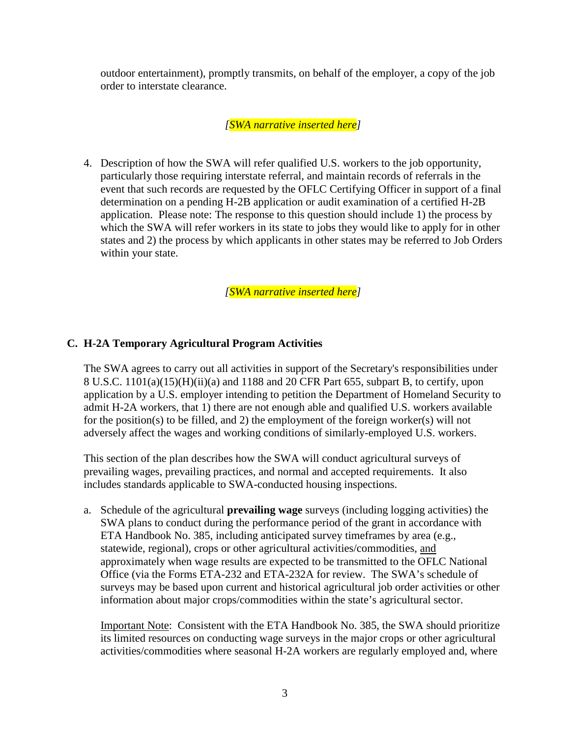outdoor entertainment), promptly transmits, on behalf of the employer, a copy of the job order to interstate clearance.

*[SWA narrative inserted here]* 

4. Description of how the SWA will refer qualified U.S. workers to the job opportunity, particularly those requiring interstate referral, and maintain records of referrals in the event that such records are requested by the OFLC Certifying Officer in support of a final determination on a pending H-2B application or audit examination of a certified H-2B application. Please note: The response to this question should include 1) the process by which the SWA will refer workers in its state to jobs they would like to apply for in other states and 2) the process by which applicants in other states may be referred to Job Orders within your state.

*[SWA narrative inserted here]* 

# **C. H-2A Temporary Agricultural Program Activities**

The SWA agrees to carry out all activities in support of the Secretary's responsibilities under 8 U.S.C. 1101(a)(15)(H)(ii)(a) and 1188 and 20 CFR Part 655, subpart B, to certify, upon application by a U.S. employer intending to petition the Department of Homeland Security to admit H-2A workers, that 1) there are not enough able and qualified U.S. workers available for the position(s) to be filled, and 2) the employment of the foreign worker(s) will not adversely affect the wages and working conditions of similarly-employed U.S. workers.

This section of the plan describes how the SWA will conduct agricultural surveys of prevailing wages, prevailing practices, and normal and accepted requirements. It also includes standards applicable to SWA-conducted housing inspections.

a. Schedule of the agricultural **prevailing wage** surveys (including logging activities) the SWA plans to conduct during the performance period of the grant in accordance with ETA Handbook No. 385, including anticipated survey timeframes by area (e.g., statewide, regional), crops or other agricultural activities/commodities, and approximately when wage results are expected to be transmitted to the OFLC National Office (via the Forms ETA-232 and ETA-232A for review. The SWA's schedule of surveys may be based upon current and historical agricultural job order activities or other information about major crops/commodities within the state's agricultural sector.

Important Note: Consistent with the ETA Handbook No. 385, the SWA should prioritize its limited resources on conducting wage surveys in the major crops or other agricultural activities/commodities where seasonal H-2A workers are regularly employed and, where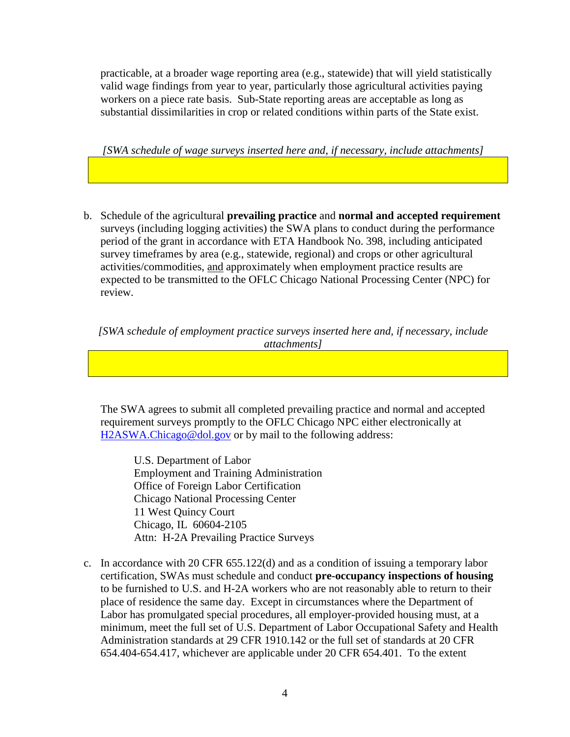practicable, at a broader wage reporting area (e.g., statewide) that will yield statistically valid wage findings from year to year, particularly those agricultural activities paying workers on a piece rate basis. Sub-State reporting areas are acceptable as long as substantial dissimilarities in crop or related conditions within parts of the State exist.

*[SWA schedule of wage surveys inserted here and, if necessary, include attachments]* 

b. Schedule of the agricultural **prevailing practice** and **normal and accepted requirement** surveys (including logging activities) the SWA plans to conduct during the performance period of the grant in accordance with ETA Handbook No. 398, including anticipated survey timeframes by area (e.g., statewide, regional) and crops or other agricultural activities/commodities, and approximately when employment practice results are expected to be transmitted to the OFLC Chicago National Processing Center (NPC) for review.

*[SWA schedule of employment practice surveys inserted here and, if necessary, include attachments]* 

The SWA agrees to submit all completed prevailing practice and normal and accepted requirement surveys promptly to the OFLC Chicago NPC either electronically at [H2ASWA.Chicago@dol.gov](mailto:H2ASWA.Chicago@dol.gov) or by mail to the following address:

 U.S. Department of Labor Employment and Training Administration Office of Foreign Labor Certification Chicago National Processing Center 11 West Quincy Court Chicago, IL 60604-2105 Attn: H-2A Prevailing Practice Surveys

c. In accordance with 20 CFR 655.122(d) and as a condition of issuing a temporary labor certification, SWAs must schedule and conduct **pre-occupancy inspections of housing** to be furnished to U.S. and H-2A workers who are not reasonably able to return to their place of residence the same day. Except in circumstances where the Department of Labor has promulgated special procedures, all employer-provided housing must, at a minimum, meet the full set of U.S. Department of Labor Occupational Safety and Health Administration standards at 29 CFR 1910.142 or the full set of standards at 20 CFR 654.404-654.417, whichever are applicable under 20 CFR 654.401. To the extent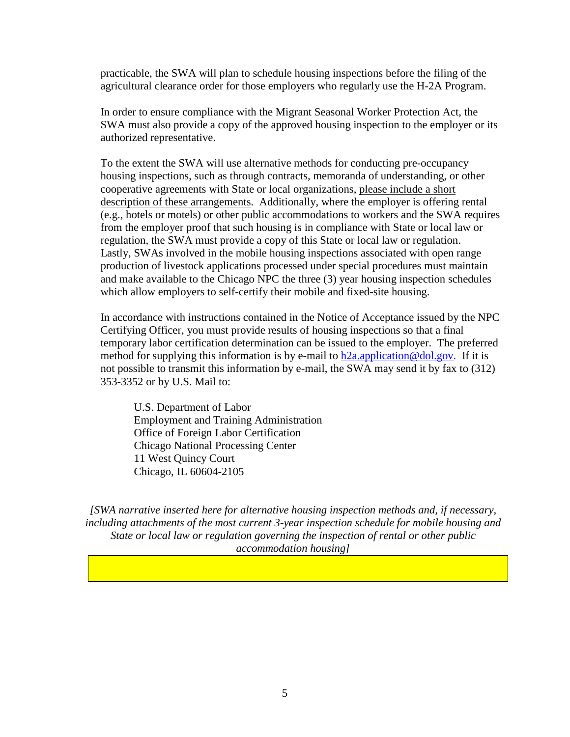practicable, the SWA will plan to schedule housing inspections before the filing of the agricultural clearance order for those employers who regularly use the H-2A Program.

In order to ensure compliance with the Migrant Seasonal Worker Protection Act, the SWA must also provide a copy of the approved housing inspection to the employer or its authorized representative.

To the extent the SWA will use alternative methods for conducting pre-occupancy housing inspections, such as through contracts, memoranda of understanding, or other cooperative agreements with State or local organizations, please include a short description of these arrangements. Additionally, where the employer is offering rental (e.g., hotels or motels) or other public accommodations to workers and the SWA requires from the employer proof that such housing is in compliance with State or local law or regulation, the SWA must provide a copy of this State or local law or regulation. Lastly, SWAs involved in the mobile housing inspections associated with open range production of livestock applications processed under special procedures must maintain and make available to the Chicago NPC the three (3) year housing inspection schedules which allow employers to self-certify their mobile and fixed-site housing.

In accordance with instructions contained in the Notice of Acceptance issued by the NPC Certifying Officer, you must provide results of housing inspections so that a final temporary labor certification determination can be issued to the employer. The preferred method for supplying this information is by e-mail to  $h2a$ . application @dol.gov. If it is not possible to transmit this information by e-mail, the SWA may send it by fax to (312) 353-3352 or by U.S. Mail to:

U.S. Department of Labor Employment and Training Administration Office of Foreign Labor Certification Chicago National Processing Center 11 West Quincy Court Chicago, IL 60604-2105

*[SWA narrative inserted here for alternative housing inspection methods and, if necessary, including attachments of the most current 3-year inspection schedule for mobile housing and State or local law or regulation governing the inspection of rental or other public accommodation housing]*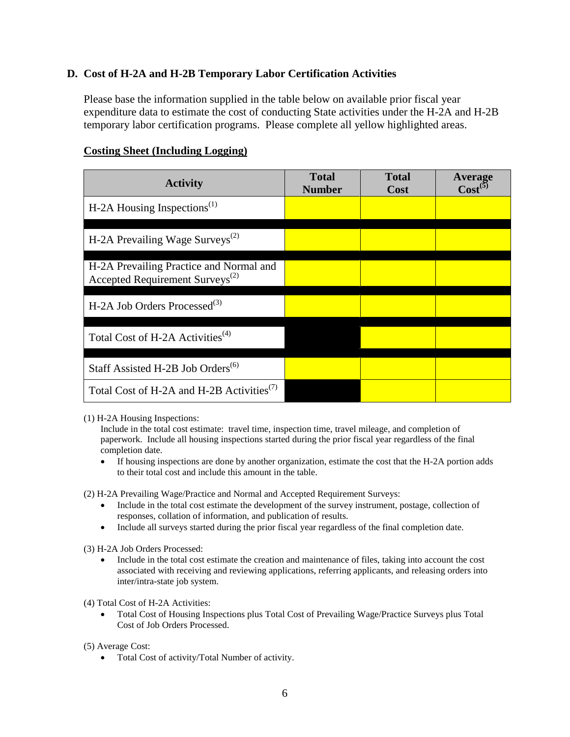# **D. Cost of H-2A and H-2B Temporary Labor Certification Activities**

Please base the information supplied in the table below on available prior fiscal year expenditure data to estimate the cost of conducting State activities under the H-2A and H-2B temporary labor certification programs. Please complete all yellow highlighted areas.

| <b>Activity</b>                                                                        | <b>Total</b><br><b>Number</b> | <b>Total</b><br>Cost | Average<br>$Cost^{(5)}$ |
|----------------------------------------------------------------------------------------|-------------------------------|----------------------|-------------------------|
| H-2A Housing Inspections <sup><math>(1)</math></sup>                                   |                               |                      |                         |
| H-2A Prevailing Wage Surveys <sup>(2)</sup>                                            |                               |                      |                         |
| H-2A Prevailing Practice and Normal and<br>Accepted Requirement Surveys <sup>(2)</sup> |                               |                      |                         |
| H-2A Job Orders Processed <sup>(3)</sup>                                               |                               |                      |                         |
| Total Cost of H-2A Activities <sup>(4)</sup>                                           |                               |                      |                         |
| Staff Assisted H-2B Job Orders <sup>(6)</sup>                                          |                               |                      |                         |
| Total Cost of H-2A and H-2B Activities <sup>(7)</sup>                                  |                               |                      |                         |

## **Costing Sheet (Including Logging)**

(1) H-2A Housing Inspections:

Include in the total cost estimate: travel time, inspection time, travel mileage, and completion of paperwork. Include all housing inspections started during the prior fiscal year regardless of the final completion date.

• If housing inspections are done by another organization, estimate the cost that the H-2A portion adds to their total cost and include this amount in the table.

(2) H-2A Prevailing Wage/Practice and Normal and Accepted Requirement Surveys:

- Include in the total cost estimate the development of the survey instrument, postage, collection of responses, collation of information, and publication of results.
- Include all surveys started during the prior fiscal year regardless of the final completion date.
- (3) H-2A Job Orders Processed:
	- Include in the total cost estimate the creation and maintenance of files, taking into account the cost associated with receiving and reviewing applications, referring applicants, and releasing orders into inter/intra-state job system.

(4) Total Cost of H-2A Activities:

• Total Cost of Housing Inspections plus Total Cost of Prevailing Wage/Practice Surveys plus Total Cost of Job Orders Processed.

(5) Average Cost:

• Total Cost of activity/Total Number of activity.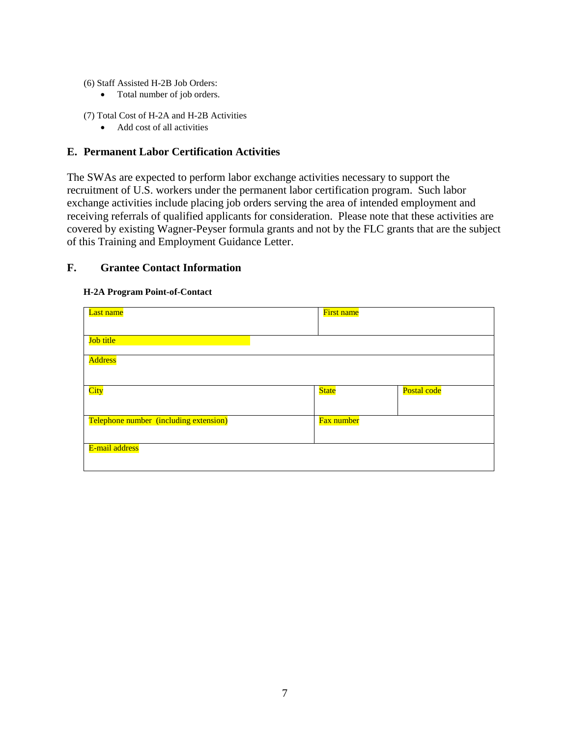- (6) Staff Assisted H-2B Job Orders:
	- Total number of job orders.
- (7) Total Cost of H-2A and H-2B Activities
	- Add cost of all activities

## **E. Permanent Labor Certification Activities**

The SWAs are expected to perform labor exchange activities necessary to support the recruitment of U.S. workers under the permanent labor certification program. Such labor exchange activities include placing job orders serving the area of intended employment and receiving referrals of qualified applicants for consideration. Please note that these activities are covered by existing Wagner-Peyser formula grants and not by the FLC grants that are the subject of this Training and Employment Guidance Letter.

# **F. Grantee Contact Information**

#### **H-2A Program Point-of-Contact**

| Last name                              | First name   |             |
|----------------------------------------|--------------|-------------|
|                                        |              |             |
| Job title                              |              |             |
| <b>Address</b>                         |              |             |
|                                        |              |             |
| City                                   | <b>State</b> | Postal code |
|                                        |              |             |
| Telephone number (including extension) | Fax number   |             |
|                                        |              |             |
| E-mail address                         |              |             |
|                                        |              |             |